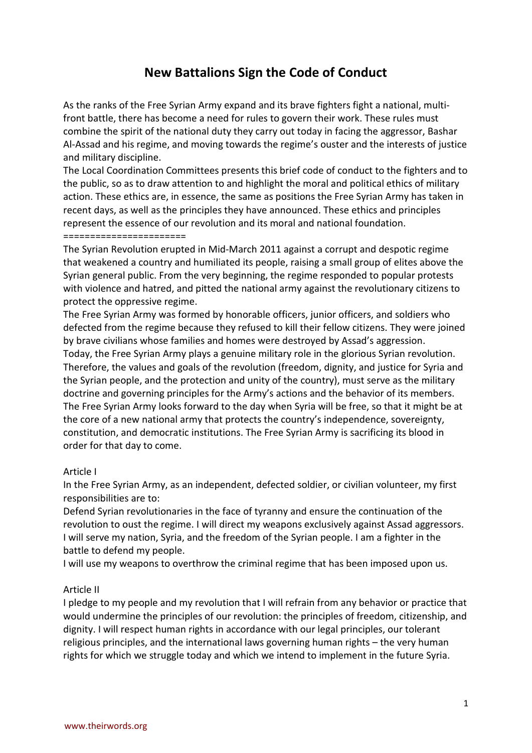# **New Battalions Sign the Code of Conduct**

As the ranks of the Free Syrian Army expand and its brave fighters fight a national, multifront battle, there has become a need for rules to govern their work. These rules must combine the spirit of the national duty they carry out today in facing the aggressor, Bashar Al-Assad and his regime, and moving towards the regime's ouster and the interests of justice and military discipline.

The Local Coordination Committees presents this brief code of conduct to the fighters and to the public, so as to draw attention to and highlight the moral and political ethics of military action. These ethics are, in essence, the same as positions the Free Syrian Army has taken in recent days, as well as the principles they have announced. These ethics and principles represent the essence of our revolution and its moral and national foundation. =======================

The Syrian Revolution erupted in Mid-March 2011 against a corrupt and despotic regime that weakened a country and humiliated its people, raising a small group of elites above the Syrian general public. From the very beginning, the regime responded to popular protests with violence and hatred, and pitted the national army against the revolutionary citizens to protect the oppressive regime.

The Free Syrian Army was formed by honorable officers, junior officers, and soldiers who defected from the regime because they refused to kill their fellow citizens. They were joined by brave civilians whose families and homes were destroyed by Assad's aggression. Today, the Free Syrian Army plays a genuine military role in the glorious Syrian revolution. Therefore, the values and goals of the revolution (freedom, dignity, and justice for Syria and the Syrian people, and the protection and unity of the country), must serve as the military doctrine and governing principles for the Army's actions and the behavior of its members. The Free Syrian Army looks forward to the day when Syria will be free, so that it might be at the core of a new national army that protects the country's independence, sovereignty, constitution, and democratic institutions. The Free Syrian Army is sacrificing its blood in order for that day to come.

## Article I

In the Free Syrian Army, as an independent, defected soldier, or civilian volunteer, my first responsibilities are to:

Defend Syrian revolutionaries in the face of tyranny and ensure the continuation of the revolution to oust the regime. I will direct my weapons exclusively against Assad aggressors. I will serve my nation, Syria, and the freedom of the Syrian people. I am a fighter in the battle to defend my people.

I will use my weapons to overthrow the criminal regime that has been imposed upon us.

#### Article II

I pledge to my people and my revolution that I will refrain from any behavior or practice that would undermine the principles of our revolution: the principles of freedom, citizenship, and dignity. I will respect human rights in accordance with our legal principles, our tolerant religious principles, and the international laws governing human rights – the very human rights for which we struggle today and which we intend to implement in the future Syria.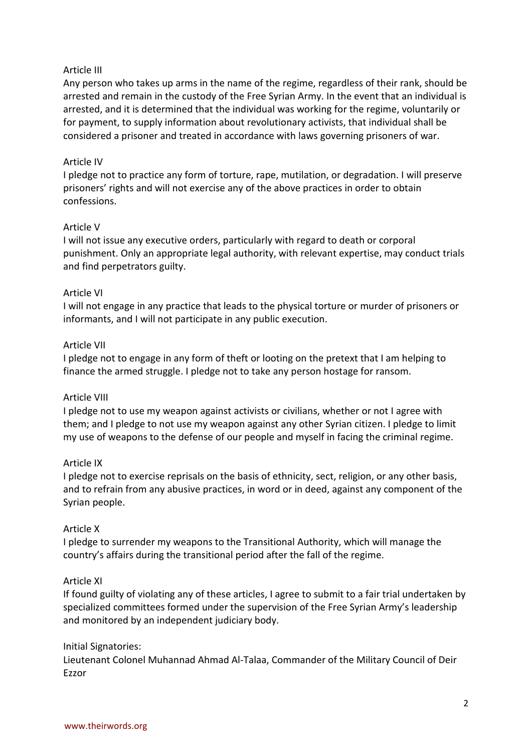## Article III

Any person who takes up arms in the name of the regime, regardless of their rank, should be arrested and remain in the custody of the Free Syrian Army. In the event that an individual is arrested, and it is determined that the individual was working for the regime, voluntarily or for payment, to supply information about revolutionary activists, that individual shall be considered a prisoner and treated in accordance with laws governing prisoners of war.

## Article IV

I pledge not to practice any form of torture, rape, mutilation, or degradation. I will preserve prisoners' rights and will not exercise any of the above practices in order to obtain confessions.

## Article V

I will not issue any executive orders, particularly with regard to death or corporal punishment. Only an appropriate legal authority, with relevant expertise, may conduct trials and find perpetrators guilty.

## Article VI

I will not engage in any practice that leads to the physical torture or murder of prisoners or informants, and I will not participate in any public execution.

## Article VII

I pledge not to engage in any form of theft or looting on the pretext that I am helping to finance the armed struggle. I pledge not to take any person hostage for ransom.

## Article VIII

I pledge not to use my weapon against activists or civilians, whether or not I agree with them; and I pledge to not use my weapon against any other Syrian citizen. I pledge to limit my use of weapons to the defense of our people and myself in facing the criminal regime.

## Article IX

I pledge not to exercise reprisals on the basis of ethnicity, sect, religion, or any other basis, and to refrain from any abusive practices, in word or in deed, against any component of the Syrian people.

## Article X

I pledge to surrender my weapons to the Transitional Authority, which will manage the country's affairs during the transitional period after the fall of the regime.

## Article XI

If found guilty of violating any of these articles, I agree to submit to a fair trial undertaken by specialized committees formed under the supervision of the Free Syrian Army's leadership and monitored by an independent judiciary body.

## Initial Signatories:

Lieutenant Colonel Muhannad Ahmad Al-Talaa, Commander of the Military Council of Deir Ezzor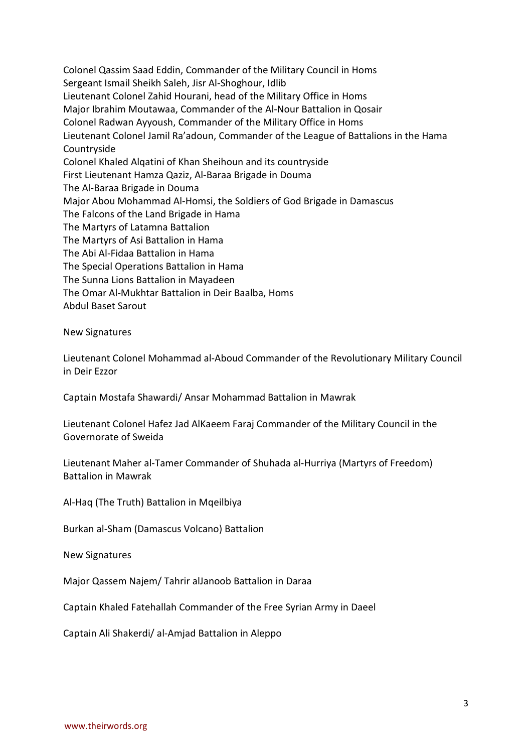Colonel Qassim Saad Eddin, Commander of the Military Council in Homs Sergeant Ismail Sheikh Saleh, Jisr Al-Shoghour, Idlib Lieutenant Colonel Zahid Hourani, head of the Military Office in Homs Major Ibrahim Moutawaa, Commander of the Al-Nour Battalion in Qosair Colonel Radwan Ayyoush, Commander of the Military Office in Homs Lieutenant Colonel Jamil Ra'adoun, Commander of the League of Battalions in the Hama Countryside Colonel Khaled Alqatini of Khan Sheihoun and its countryside First Lieutenant Hamza Qaziz, Al-Baraa Brigade in Douma The Al-Baraa Brigade in Douma Major Abou Mohammad Al-Homsi, the Soldiers of God Brigade in Damascus The Falcons of the Land Brigade in Hama The Martyrs of Latamna Battalion The Martyrs of Asi Battalion in Hama The Abi Al-Fidaa Battalion in Hama The Special Operations Battalion in Hama The Sunna Lions Battalion in Mayadeen The Omar Al-Mukhtar Battalion in Deir Baalba, Homs Abdul Baset Sarout

New Signatures

Lieutenant Colonel Mohammad al-Aboud Commander of the Revolutionary Military Council in Deir Ezzor

Captain Mostafa Shawardi/ Ansar Mohammad Battalion in Mawrak

Lieutenant Colonel Hafez Jad AlKaeem Faraj Commander of the Military Council in the Governorate of Sweida

Lieutenant Maher al-Tamer Commander of Shuhada al-Hurriya (Martyrs of Freedom) Battalion in Mawrak

Al-Haq (The Truth) Battalion in Mqeilbiya

Burkan al-Sham (Damascus Volcano) Battalion

New Signatures

Major Qassem Najem/ Tahrir alJanoob Battalion in Daraa

Captain Khaled Fatehallah Commander of the Free Syrian Army in Daeel

Captain Ali Shakerdi/ al-Amjad Battalion in Aleppo